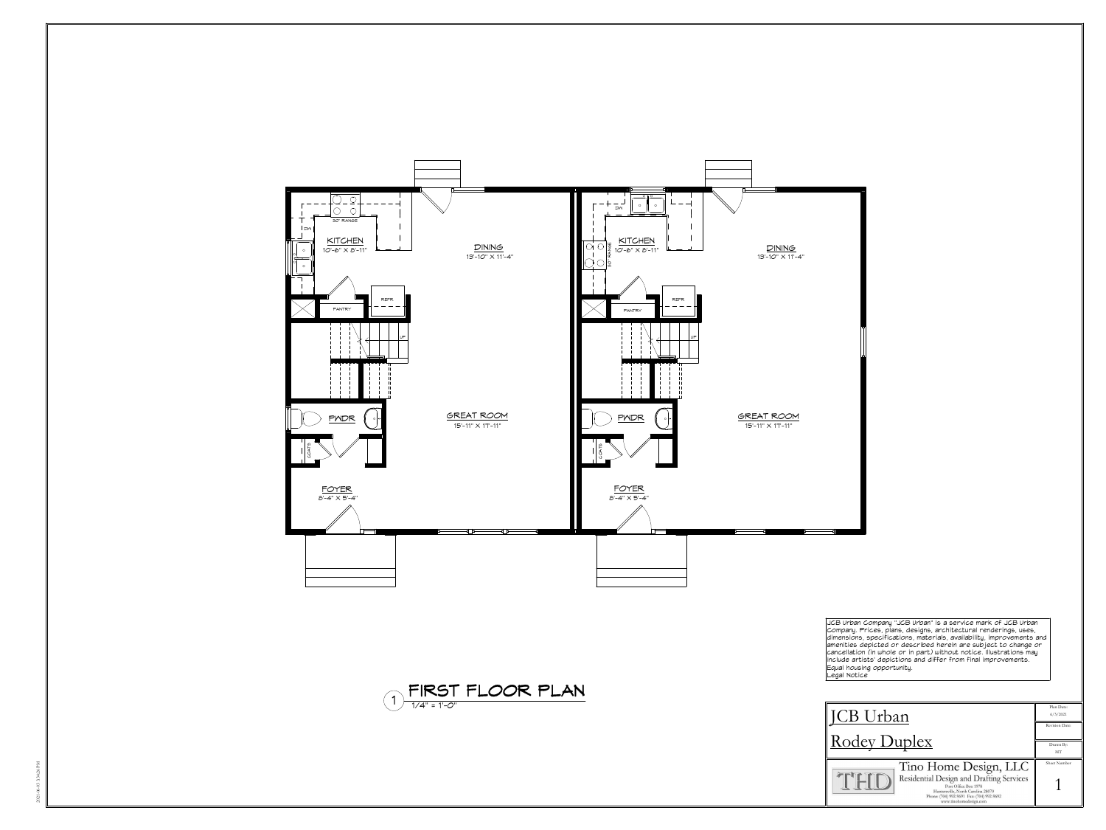





JCB Urban Company "JCB Urban" is a service mark of JCB Urban<br>Company. Prices, plans, designs, architectural renderings, uses,<br>dimensions, specifications, materials, availability, improvements and<br>amenities depicted or desc cancellation
(in
whole
or
in
part)
without
notice.
Illustrations
may include
artists' depictions
and
differ
from
final
improvements. Equal
housing
opportunity. Legal
Notice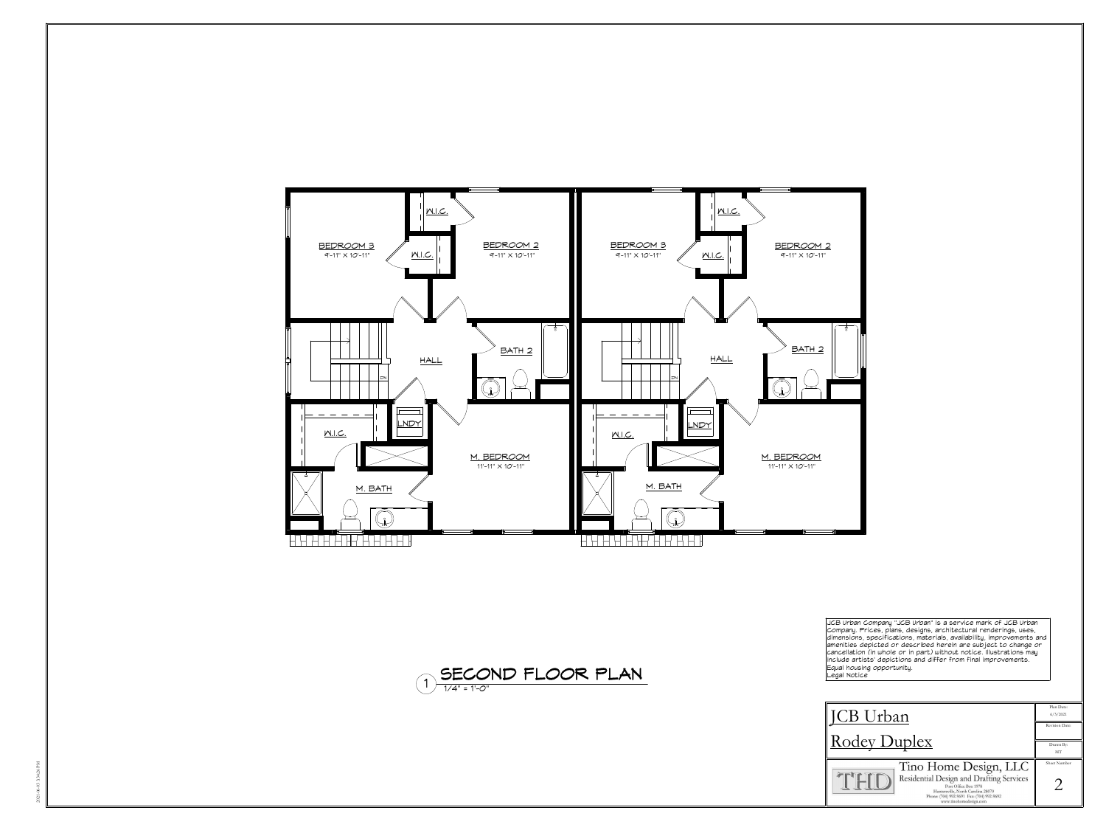





JCB Urban Company "JCB Urban" is a service mark of JCB Urban<br>Company. Prices, plans, designs, architectural renderings, uses,<br>dimensions, specifications, materials, availability, improvements and<br>amenities depicted or desc cancellation
(in
whole
or
in
part)
without
notice.
Illustrations
may include
artists' depictions
and
differ
from
final
improvements. Equal
housing
opportunity. Legal
Notice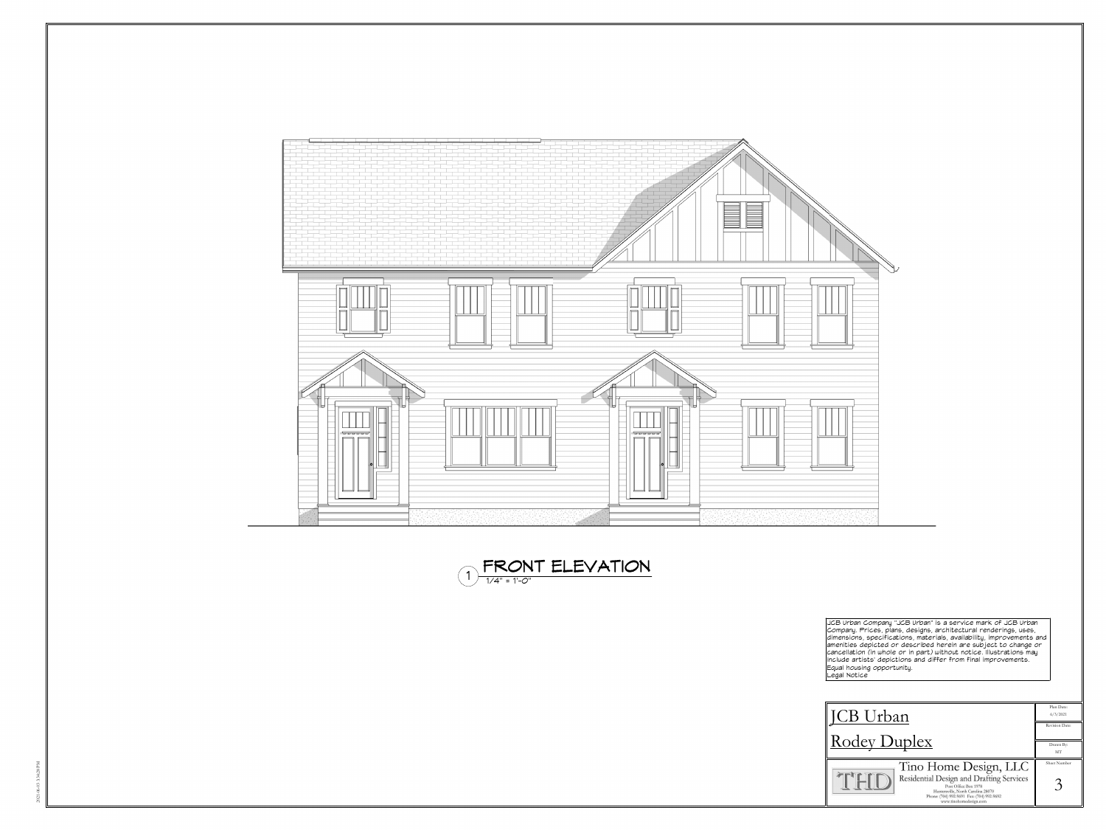

JCB Urban Company "JCB Urban" is a service mark of JCB Urban<br>Company. Prices, plans, designs, architectural renderings, uses,<br>dimensions, specifications, materials, availability, improvements and<br>amenities depicted or desc Equal
housing
opportunity. Legal
Notice



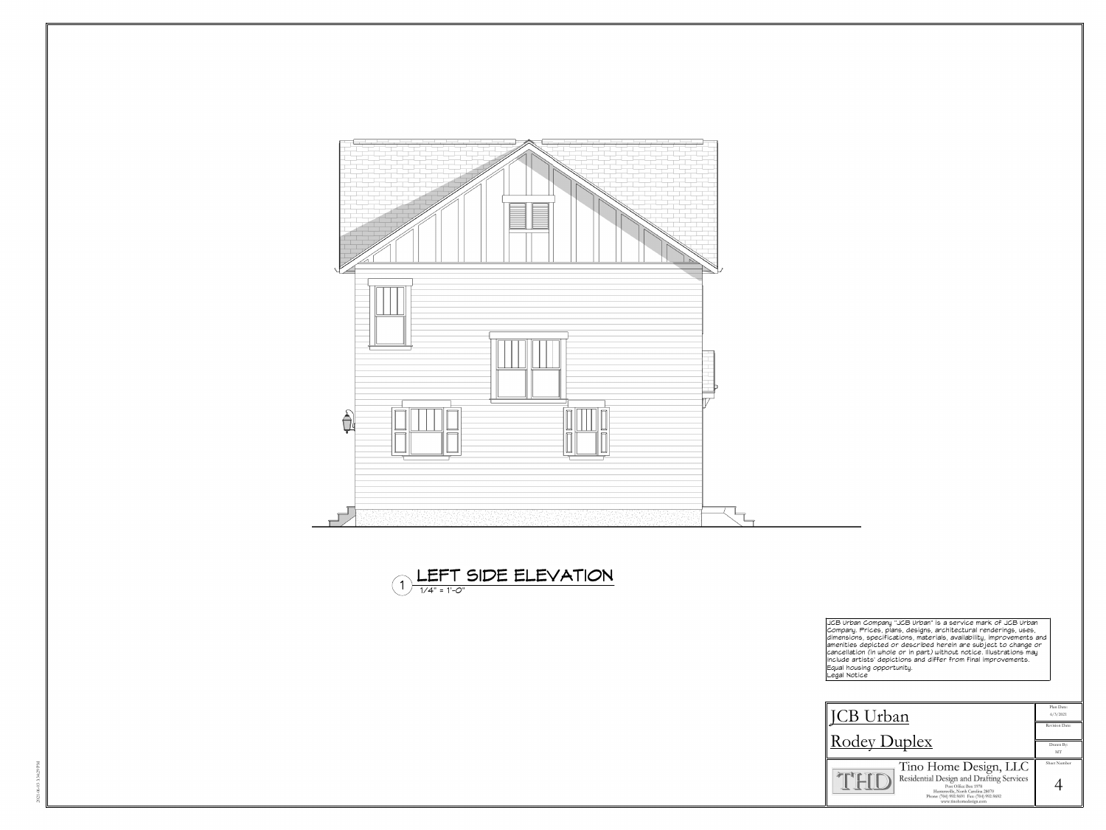





JCB Urban Company "JCB Urban" is a service mark of JCB Urban<br>Company. Prices, plans, designs, architectural renderings, uses,<br>dimensions, specifications, materials, availability, improvements and<br>amenities depicted or desc Equal
housing
opportunity. Legal
Notice